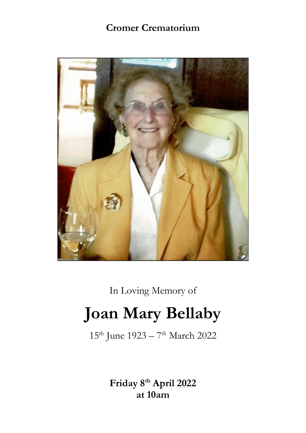# **Cromer Crematorium**



In Loving Memory of

# **Joan Mary Bellaby**

15<sup>th</sup> June 1923 – 7<sup>th</sup> March 2022

**Friday 8th April 2022 at 10am**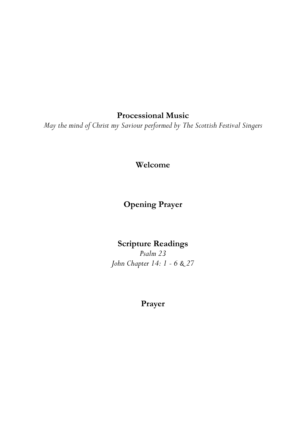**Processional Music**

*May the mind of Christ my Saviour performed by The Scottish Festival Singers*

**Welcome**

**Opening Prayer**

### **Scripture Readings**

*Psalm 23 John Chapter 14: 1 - 6 & 27*

## **Prayer**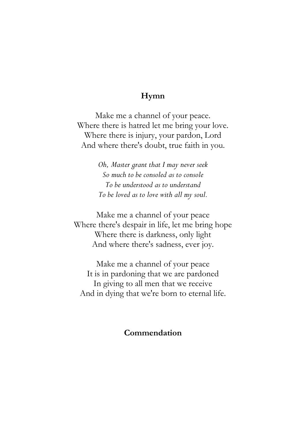#### **Hymn**

Make me a channel of your peace. Where there is hatred let me bring your love. Where there is injury, your pardon, Lord And where there's doubt, true faith in you.

> *Oh, Master grant that I may never seek So much to be consoled as to console To be understood as to understand To be loved as to love with all my soul.*

Make me a channel of your peace Where there's despair in life, let me bring hope Where there is darkness, only light And where there's sadness, ever joy.

Make me a channel of your peace It is in pardoning that we are pardoned In giving to all men that we receive And in dying that we're born to eternal life.

#### **Commendation**